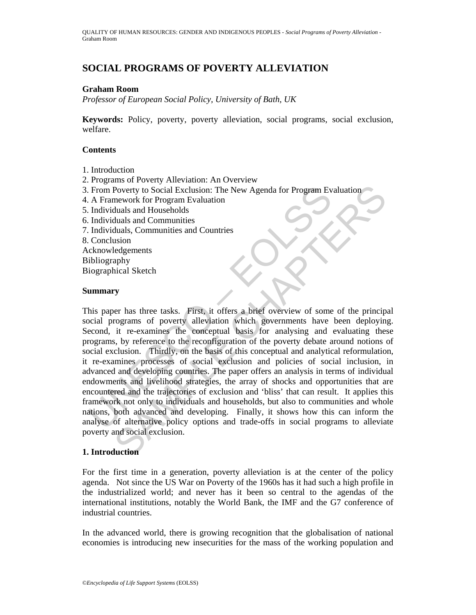# **SOCIAL PROGRAMS OF POVERTY ALLEVIATION**

# **Graham Room**

*Professor of European Social Policy, University of Bath, UK* 

**Keywords:** Policy, poverty, poverty alleviation, social programs, social exclusion, welfare.

## **Contents**

- 1. Introduction
- 2. Programs of Poverty Alleviation: An Overview
- 3. From Poverty to Social Exclusion: The New Agenda for Program Evaluation
- 4. A Framework for Program Evaluation
- 5. Individuals and Households
- 6. Individuals and Communities
- 7. Individuals, Communities and Countries
- 8. Conclusion

Acknowledgements

- Bibliography
- Biographical Sketch

## **Summary**

From Poverty to Social Exclusion: The New Agenda for Program Ev<br>
A Framework for Program Evaluation<br>
Individuals and Households<br>
Individuals and Communities<br>
Individuals, Communities and Countries<br>
Conclusion<br>
Chrowledgeme Poverty to Social Exclusion: The New Agenda for Program Evaluation<br>mework for Program Evaluation<br>duals and Households<br>duals and Communities<br>duals. Communities and Countries<br>duals, Communities and Countries<br>paby<br>incided Ske This paper has three tasks. First, it offers a brief overview of some of the principal social programs of poverty alleviation which governments have been deploying. Second, it re-examines the conceptual basis for analysing and evaluating these programs, by reference to the reconfiguration of the poverty debate around notions of social exclusion. Thirdly, on the basis of this conceptual and analytical reformulation, it re-examines processes of social exclusion and policies of social inclusion, in advanced and developing countries. The paper offers an analysis in terms of individual endowments and livelihood strategies, the array of shocks and opportunities that are encountered and the trajectories of exclusion and 'bliss' that can result. It applies this framework not only to individuals and households, but also to communities and whole nations, both advanced and developing. Finally, it shows how this can inform the analyse of alternative policy options and trade-offs in social programs to alleviate poverty and social exclusion.

## **1. Introduction**

For the first time in a generation, poverty alleviation is at the center of the policy agenda. Not since the US War on Poverty of the 1960s has it had such a high profile in the industrialized world; and never has it been so central to the agendas of the international institutions, notably the World Bank, the IMF and the G7 conference of industrial countries.

In the advanced world, there is growing recognition that the globalisation of national economies is introducing new insecurities for the mass of the working population and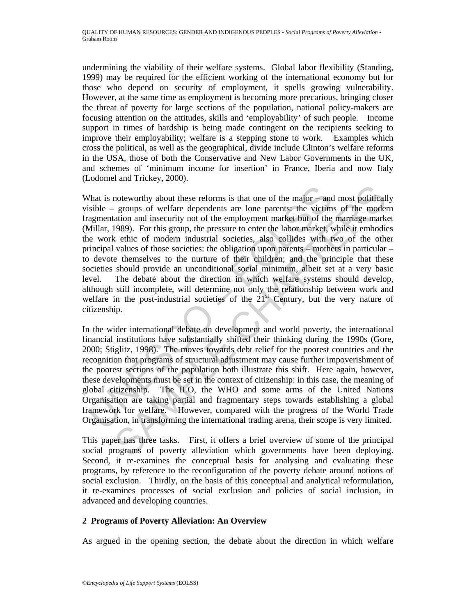undermining the viability of their welfare systems. Global labor flexibility (Standing, 1999) may be required for the efficient working of the international economy but for those who depend on security of employment, it spells growing vulnerability. However, at the same time as employment is becoming more precarious, bringing closer the threat of poverty for large sections of the population, national policy-makers are focusing attention on the attitudes, skills and 'employability' of such people. Income support in times of hardship is being made contingent on the recipients seeking to improve their employability; welfare is a stepping stone to work. Examples which cross the political, as well as the geographical, divide include Clinton's welfare reforms in the USA, those of both the Conservative and New Labor Governments in the UK, and schemes of 'minimum income for insertion' in France, Iberia and now Italy (Lodomel and Trickey, 2000).

That is noteworthy about these reforms is that one of the major – and<br>sisible – groups of welfare dependents are lone parents: the victim<br>agmentation and insecurity not of the employment market but of the<br>Villar, 1989). F noteworthy about these reforms is that one of the major and most political<br>groups of welfare dependents are lone parents; the victims of the moder<br>ation and insecurity not of the employment market but of the marriage mark What is noteworthy about these reforms is that one of the major – and most politically visible – groups of welfare dependents are lone parents: the victims of the modern fragmentation and insecurity not of the employment market but of the marriage market (Millar, 1989). For this group, the pressure to enter the labor market, while it embodies the work ethic of modern industrial societies, also collides with two of the other principal values of those societies: the obligation upon parents – mothers in particular – to devote themselves to the nurture of their children; and the principle that these societies should provide an unconditional social minimum, albeit set at a very basic level. The debate about the direction in which welfare systems should develop, although still incomplete, will determine not only the relationship between work and welfare in the post-industrial societies of the 21<sup>st</sup> Century, but the very nature of citizenship.

In the wider international debate on development and world poverty, the international financial institutions have substantially shifted their thinking during the 1990s (Gore, 2000; Stiglitz, 1998). The moves towards debt relief for the poorest countries and the recognition that programs of structural adjustment may cause further impoverishment of the poorest sections of the population both illustrate this shift. Here again, however, these developments must be set in the context of citizenship: in this case, the meaning of global citizenship. The ILO, the WHO and some arms of the United Nations Organisation are taking partial and fragmentary steps towards establishing a global framework for welfare. However, compared with the progress of the World Trade Organisation, in transforming the international trading arena, their scope is very limited.

This paper has three tasks. First, it offers a brief overview of some of the principal social programs of poverty alleviation which governments have been deploying. Second, it re-examines the conceptual basis for analysing and evaluating these programs, by reference to the reconfiguration of the poverty debate around notions of social exclusion. Thirdly, on the basis of this conceptual and analytical reformulation, it re-examines processes of social exclusion and policies of social inclusion, in advanced and developing countries.

# **2 Programs of Poverty Alleviation: An Overview**

As argued in the opening section, the debate about the direction in which welfare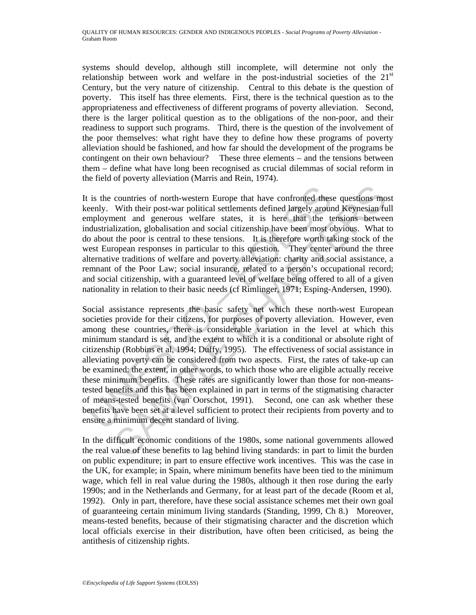systems should develop, although still incomplete, will determine not only the relationship between work and welfare in the post-industrial societies of the  $21<sup>st</sup>$ Century, but the very nature of citizenship. Central to this debate is the question of poverty. This itself has three elements. First, there is the technical question as to the appropriateness and effectiveness of different programs of poverty alleviation. Second, there is the larger political question as to the obligations of the non-poor, and their readiness to support such programs. Third, there is the question of the involvement of the poor themselves: what right have they to define how these programs of poverty alleviation should be fashioned, and how far should the development of the programs be contingent on their own behaviour? These three elements – and the tensions between them – define what have long been recognised as crucial dilemmas of social reform in the field of poverty alleviation (Marris and Rein, 1974).

It is the countries of north-western Europe that have confronted these questions most keenly. With their post-war political settlements defined largely around Keynesian full employment and generous welfare states, it is here that the tensions between industrialization, globalisation and social citizenship have been most obvious. What to do about the poor is central to these tensions. It is therefore worth taking stock of the west European responses in particular to this question. They center around the three alternative traditions of welfare and poverty alleviation: charity and social assistance, a remnant of the Poor Law; social insurance, related to a person's occupational record; and social citizenship, with a guaranteed level of welfare being offered to all of a given nationality in relation to their basic needs (cf Rimlinger, 1971; Esping-Andersen, 1990).

is the countries of north-western Europe that have confronted thesenly. With their post-war political settlements defined largely aroumployment and generous welfare states, it is here that the totus distrialization, global countries of north-western Europe that have confronted these questions mo<br>With their post-war political settlements defined largely around Keynesian fu<br>ent and generous welfare states, it is here that the tensions between<br> Social assistance represents the basic safety net which these north-west European societies provide for their citizens, for purposes of poverty alleviation. However, even among these countries, there is considerable variation in the level at which this minimum standard is set, and the extent to which it is a conditional or absolute right of citizenship (Robbins et al, 1994; Duffy, 1995). The effectiveness of social assistance in alleviating poverty can be considered from two aspects. First, the rates of take-up can be examined: the extent, in other words, to which those who are eligible actually receive these minimum benefits. These rates are significantly lower than those for non-meanstested benefits and this has been explained in part in terms of the stigmatising character of means-tested benefits (van Oorschot, 1991). Second, one can ask whether these benefits have been set at a level sufficient to protect their recipients from poverty and to ensure a minimum decent standard of living.

In the difficult economic conditions of the 1980s, some national governments allowed the real value of these benefits to lag behind living standards: in part to limit the burden on public expenditure; in part to ensure effective work incentives. This was the case in the UK, for example; in Spain, where minimum benefits have been tied to the minimum wage, which fell in real value during the 1980s, although it then rose during the early 1990s; and in the Netherlands and Germany, for at least part of the decade (Room et al, 1992). Only in part, therefore, have these social assistance schemes met their own goal of guaranteeing certain minimum living standards (Standing, 1999, Ch 8.) Moreover, means-tested benefits, because of their stigmatising character and the discretion which local officials exercise in their distribution, have often been criticised, as being the antithesis of citizenship rights.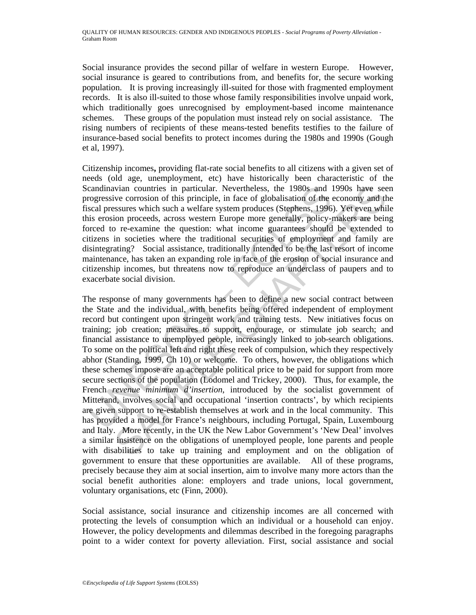Social insurance provides the second pillar of welfare in western Europe. However, social insurance is geared to contributions from, and benefits for, the secure working population. It is proving increasingly ill-suited for those with fragmented employment records. It is also ill-suited to those whose family responsibilities involve unpaid work, which traditionally goes unrecognised by employment-based income maintenance schemes. These groups of the population must instead rely on social assistance. The rising numbers of recipients of these means-tested benefits testifies to the failure of insurance-based social benefits to protect incomes during the 1980s and 1990s (Gough et al, 1997).

Citizenship incomes**,** providing flat-rate social benefits to all citizens with a given set of needs (old age, unemployment, etc) have historically been characteristic of the Scandinavian countries in particular. Nevertheless, the 1980s and 1990s have seen progressive corrosion of this principle, in face of globalisation of the economy and the fiscal pressures which such a welfare system produces (Stephens, 1996). Yet even while this erosion proceeds, across western Europe more generally, policy-makers are being forced to re-examine the question: what income guarantees should be extended to citizens in societies where the traditional securities of employment and family are disintegrating? Social assistance, traditionally intended to be the last resort of income maintenance, has taken an expanding role in face of the erosion of social insurance and citizenship incomes, but threatens now to reproduce an underclass of paupers and to exacerbate social division.

candinavian countries in particular. Nevertheless, the 1980s and logensive corrosion of this principle, in face of globalisation of the size sets presense which such as welfare system produces (Stephens, 1996 sis erosion p ivian countries in particular. Nevertheless, the 1980s and 1990s have sec<br>vectores on of this principle, in face of globalisation of the economy and the<br>systems which such a welfare system produces (Stephens, 1996). Yet ev The response of many governments has been to define a new social contract between the State and the individual, with benefits being offered independent of employment record but contingent upon stringent work and training tests. New initiatives focus on training; job creation; measures to support, encourage, or stimulate job search; and financial assistance to unemployed people, increasingly linked to job-search obligations. To some on the political left and right these reek of compulsion, which they respectively abhor (Standing, 1999, Ch 10) or welcome. To others, however, the obligations which these schemes impose are an acceptable political price to be paid for support from more secure sections of the population (Lodomel and Trickey, 2000). Thus, for example, the French *revenue minimum d'insertion*, introduced by the socialist government of Mitterand, involves social and occupational 'insertion contracts', by which recipients are given support to re-establish themselves at work and in the local community. This has provided a model for France's neighbours, including Portugal, Spain, Luxembourg and Italy. More recently, in the UK the New Labor Government's 'New Deal' involves a similar insistence on the obligations of unemployed people, lone parents and people with disabilities to take up training and employment and on the obligation of government to ensure that these opportunities are available. All of these programs, precisely because they aim at social insertion, aim to involve many more actors than the social benefit authorities alone: employers and trade unions, local government, voluntary organisations, etc (Finn, 2000).

Social assistance, social insurance and citizenship incomes are all concerned with protecting the levels of consumption which an individual or a household can enjoy. However, the policy developments and dilemmas described in the foregoing paragraphs point to a wider context for poverty alleviation. First, social assistance and social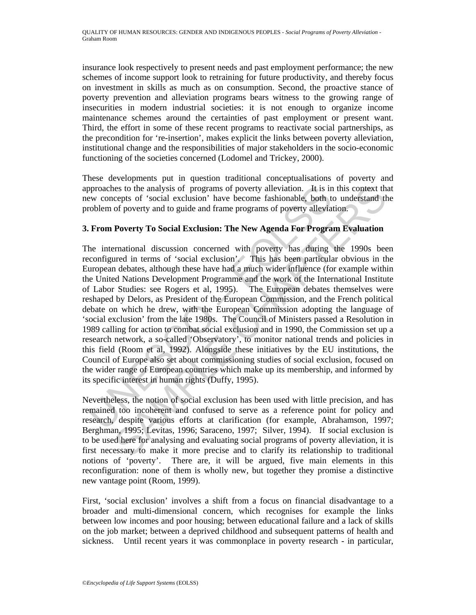insurance look respectively to present needs and past employment performance; the new schemes of income support look to retraining for future productivity, and thereby focus on investment in skills as much as on consumption. Second, the proactive stance of poverty prevention and alleviation programs bears witness to the growing range of insecurities in modern industrial societies: it is not enough to organize income maintenance schemes around the certainties of past employment or present want. Third, the effort in some of these recent programs to reactivate social partnerships, as the precondition for 're-insertion', makes explicit the links between poverty alleviation, institutional change and the responsibilities of major stakeholders in the socio-economic functioning of the societies concerned (Lodomel and Trickey, 2000).

These developments put in question traditional conceptualisations of poverty and approaches to the analysis of programs of poverty alleviation. It is in this context that new concepts of 'social exclusion' have become fashionable, both to understand the problem of poverty and to guide and frame programs of poverty alleviation.

# **3. From Poverty To Social Exclusion: The New Agenda For Program Evaluation**

pproaches to the analysis of programs of poverty alleviation. It is in<br>ew concepts of 'social exclusion' have become fashionable, both t<br>roblem of poverty and to guide and frame programs of poverty allevia<br>From Poverty To ies to the analysis of programs of poverty alleviation. It is in this context the cocyts of 'social exclusion' have become fashionable, both to understand the poverty and to guide and frame programs of poverty alleviation. The international discussion concerned with poverty has during the 1990s been reconfigured in terms of 'social exclusion'. This has been particular obvious in the European debates, although these have had a much wider influence (for example within the United Nations Development Programme and the work of the International Institute of Labor Studies: see Rogers et al, 1995). The European debates themselves were reshaped by Delors, as President of the European Commission, and the French political debate on which he drew, with the European Commission adopting the language of 'social exclusion' from the late 1980s. The Council of Ministers passed a Resolution in 1989 calling for action to combat social exclusion and in 1990, the Commission set up a research network, a so-called 'Observatory', to monitor national trends and policies in this field (Room et al, 1992). Alongside these initiatives by the EU institutions, the Council of Europe also set about commissioning studies of social exclusion, focused on the wider range of European countries which make up its membership, and informed by its specific interest in human rights (Duffy, 1995).

Nevertheless, the notion of social exclusion has been used with little precision, and has remained too incoherent and confused to serve as a reference point for policy and research, despite various efforts at clarification (for example, Abrahamson, 1997; Berghman, 1995; Levitas, 1996; Saraceno, 1997; Silver, 1994). If social exclusion is to be used here for analysing and evaluating social programs of poverty alleviation, it is first necessary to make it more precise and to clarify its relationship to traditional notions of 'poverty'. There are, it will be argued, five main elements in this reconfiguration: none of them is wholly new, but together they promise a distinctive new vantage point (Room, 1999).

First, 'social exclusion' involves a shift from a focus on financial disadvantage to a broader and multi-dimensional concern, which recognises for example the links between low incomes and poor housing; between educational failure and a lack of skills on the job market; between a deprived childhood and subsequent patterns of health and sickness. Until recent years it was commonplace in poverty research - in particular,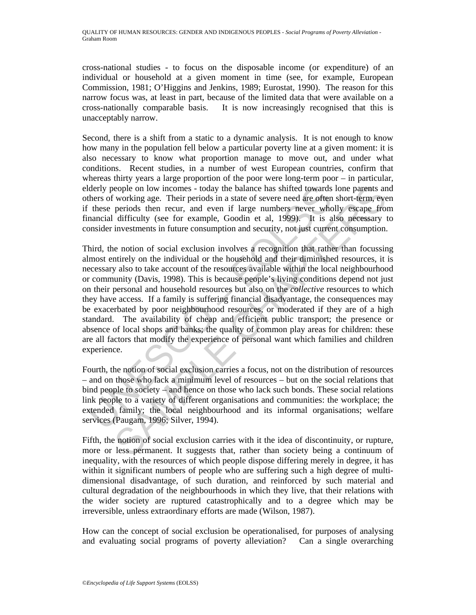cross-national studies - to focus on the disposable income (or expenditure) of an individual or household at a given moment in time (see, for example, European Commission, 1981; O'Higgins and Jenkins, 1989; Eurostat, 1990). The reason for this narrow focus was, at least in part, because of the limited data that were available on a cross-nationally comparable basis. It is now increasingly recognised that this is unacceptably narrow.

Second, there is a shift from a static to a dynamic analysis. It is not enough to know how many in the population fell below a particular poverty line at a given moment: it is also necessary to know what proportion manage to move out, and under what conditions. Recent studies, in a number of west European countries, confirm that whereas thirty years a large proportion of the poor were long-term poor – in particular, elderly people on low incomes - today the balance has shifted towards lone parents and others of working age. Their periods in a state of severe need are often short-term, even if these periods then recur, and even if large numbers never wholly escape from financial difficulty (see for example, Goodin et al, 1999). It is also necessary to consider investments in future consumption and security, not just current consumption.

derly people on low incomes - today the balance has shifted towards<br>thers of working age. Their periods in a state of severe need are often<br>thes periods then recur, and even if large numbers never who<br>from fraction that an cople on low incomes - today the balance has shifted towards lone parents an working age. Their periods in a state of severe need are offer short-term, ever shifted priority exapted protically (see for example, Goodin et a Third, the notion of social exclusion involves a recognition that rather than focussing almost entirely on the individual or the household and their diminished resources, it is necessary also to take account of the resources available within the local neighbourhood or community (Davis, 1998). This is because people's living conditions depend not just on their personal and household resources but also on the *collective* resources to which they have access. If a family is suffering financial disadvantage, the consequences may be exacerbated by poor neighbourhood resources, or moderated if they are of a high standard. The availability of cheap and efficient public transport; the presence or absence of local shops and banks; the quality of common play areas for children: these are all factors that modify the experience of personal want which families and children experience.

Fourth, the notion of social exclusion carries a focus, not on the distribution of resources – and on those who lack a minimum level of resources – but on the social relations that bind people to society – and hence on those who lack such bonds. These social relations link people to a variety of different organisations and communities: the workplace; the extended family; the local neighbourhood and its informal organisations; welfare services (Paugam, 1996; Silver, 1994).

Fifth, the notion of social exclusion carries with it the idea of discontinuity, or rupture, more or less permanent. It suggests that, rather than society being a continuum of inequality, with the resources of which people dispose differing merely in degree, it has within it significant numbers of people who are suffering such a high degree of multidimensional disadvantage, of such duration, and reinforced by such material and cultural degradation of the neighbourhoods in which they live, that their relations with the wider society are ruptured catastrophically and to a degree which may be irreversible, unless extraordinary efforts are made (Wilson, 1987).

How can the concept of social exclusion be operationalised, for purposes of analysing and evaluating social programs of poverty alleviation? Can a single overarching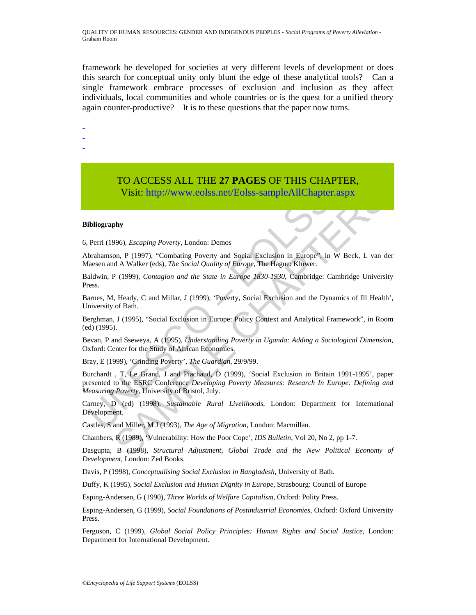framework be developed for societies at very different levels of development or does this search for conceptual unity only blunt the edge of these analytical tools? Can a single framework embrace processes of exclusion and inclusion as they affect individuals, local communities and whole countries or is the quest for a unified theory again counter-productive? It is to these questions that the paper now turns.

-

-

-

# TO ACCESS ALL THE **27 PAGES** OF THIS CHAPTER, Visit: http://www.eolss.net/Eolss-sampleAllChapter.aspx

### **Bibliography**

6, Perri (1996), *Escaping Poverty*, London: Demos

Abrahamson, P (1997), "Combating Poverty and Social Exclusion in Europe", in W Beck, L van der Maesen and A Walker (eds), *The Social Quality of Europe*, The Hague: Kluwer.

Baldwin, P (1999), *Contagion and the State in Europe 1830-1930*, Cambridge: Cambridge University Press.

Barnes, M, Heady, C and Millar, J (1999), 'Poverty, Social Exclusion and the Dynamics of Ill Health', University of Bath.

Berghman, J (1995), "Social Exclusion in Europe: Policy Context and Analytical Framework", in Room (ed) (1995).

Bevan, P and Sseweya, A (1995), *Understanding Poverty in Uganda: Adding a Sociological Dimension*, Oxford: Center for the Study of African Economies.

Bray, E (1999), 'Grinding Poverty', *The Guardian*, 29/9/99.

Visit: http://www.colss.net/Eolss-sampleAllChapter<br>
ibliography<br>
Perri (1996), *Escaping Poverty*, London: Demos<br>
brahamson, P (1997), "Combating Poverty and Social Exclusion in Europe", in<br>
laesen and A Walker (eds), *The* Visit: http://www.eolss.net/Folses-sampleAllChapter.aspx<br>
Visit: http://www.eolss.net/Folses-sampleAllChapter.aspx<br>
on, P. (1997), "Combaing Povery, London: Demos<br>
Ad A Walker (eds), The Social Quality of Europe, The Hague Burchardt , T, Le Grand, J and Piachaud, D (1999), 'Social Exclusion in Britain 1991-1995', paper presented to the ESRC Conference *Developing Poverty Measures: Research In Europe: Defining and Measuring Poverty*, University of Bristol, July.

Carney, D (ed) (1998), *Sustainable Rural Livelihoods*, London: Department for International Development.

Castles, S and Miller, M J (1993), *The Age of Migration*, London: Macmillan.

Chambers, R (1989), 'Vulnerability: How the Poor Cope', *IDS Bulletin*, Vol 20, No 2, pp 1-7.

Dasgupta, B (1998), *Structural Adjustment, Global Trade and the New Political Economy of Development*, London: Zed Books.

Davis, P (1998), *Conceptualising Social Exclusion in Bangladesh*, University of Bath.

Duffy, K (1995), *Social Exclusion and Human Dignity in Europe*, Strasbourg: Council of Europe

Esping-Andersen, G (1990), *Three Worlds of Welfare Capitalism*, Oxford: Polity Press.

Esping-Andersen, G (1999), *Social Foundations of Postindustrial Economies*, Oxford: Oxford University Press.

Ferguson, C (1999), *Global Social Policy Principles: Human Rights and Social Justice*, London: Department for International Development.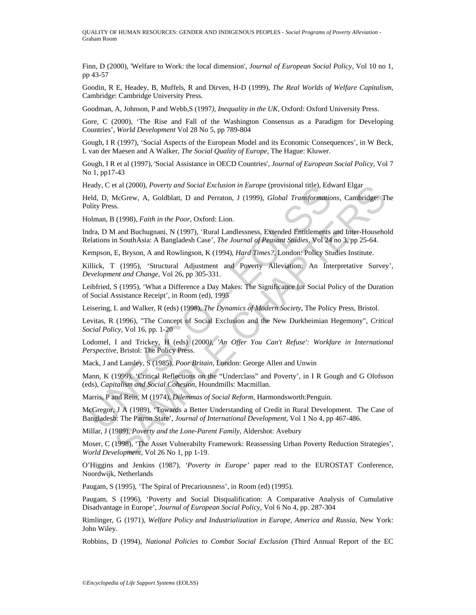Finn, D (2000), 'Welfare to Work: the local dimension', *Journal of European Social Policy*, Vol 10 no 1, pp 43-57

Goodin, R E, Headey, B, Muffels, R and Dirven, H-D (1999), *The Real Worlds of Welfare Capitalism*, Cambridge: Cambridge University Press.

Goodman, A, Johnson, P and Webb,S (1997*), Inequality in the UK,* Oxford: Oxford University Press.

Gore, C (2000), 'The Rise and Fall of the Washington Consensus as a Paradigm for Developing Countries', *World Development* Vol 28 No 5, pp 789-804

Gough, I R (1997), 'Social Aspects of the European Model and its Economic Consequences', in W Beck, L van der Maesen and A Walker, *The Social Quality of Europe*, The Hague: Kluwer.

Gough, I R et al (1997), 'Social Assistance in OECD Countries', *Journal of European Social Policy*, Vol 7 No 1, pp17-43

Heady, C et al (2000), *Poverty and Social Exclusion in Europe* (provisional title), Edward Elgar

eady, C et at (2000), *Poverty and Social Exclusion in Europe* (provisional title), Easted Engl. D, McGrew, A, Goldblatt, D and Perraton, J (1999), *Global Transformatio*<br>olman, B (1998), *Faith in the Poor*, Oxford: Lion. et al (2000), *Poverty and Social Exclusion in Europe* (provisional title), Edward Eigar<br>McGrew, A, Goldblatt, D and Perraton, J (1999), *Global Transformations*, Cambridge: The Section A, Coldblatt, D and Perraton, J (199 Held, D, McGrew, A, Goldblatt, D and Perraton, J (1999), *Global Transformations*, Cambridge: The Polity Press.

Holman, B (1998), *Faith in the Poor*, Oxford: Lion.

Indra, D M and Buchugnani, N (1997), 'Rural Landlessness, Extended Entitlements and Inter-Household Relations in SouthAsia: A Bangladesh Case'*, The Journal of Peasant Studies*, Vol 24 no 3, pp 25-64.

Kempson, E, Bryson, A and Rowlingson, K (1994), *Hard Times?,* London: Policy Studies Institute.

Killick, T (1995), 'Structural Adjustment and Poverty Alleviation: An Interpretative Survey', *Development and Change*, Vol 26, pp 305-331.

Leibfried, S (1995), 'What a Difference a Day Makes: The Significance for Social Policy of the Duration of Social Assistance Receipt', in Room (ed), 1995

Leisering, L and Walker, R (eds) (1998), *The Dynamics of Modern Society*, The Policy Press, Bristol.

Levitas, R (1996), "The Concept of Social Exclusion and the New Durkheimian Hegemony", *Critical Social Policy*, Vol 16, pp. 1-20

Lodomel, I and Trickey, H (eds) (2000*), 'An Offer You Can't Refuse': Workfare in International Perspective*, Bristol: The Policy Press.

Mack, J and Lansley, S (1985), *Poor Britain,* London: George Allen and Unwin

Mann, K (1999), 'Critical Reflections on the "Underclass" and Poverty', in I R Gough and G Olofsson (eds), *Capitalism and Social Cohesion*, Houndmills: Macmillan.

Marris, P and Rein, M (1974), *Dilemmas of Social Reform*, Harmondsworth:Penguin.

McGregor, J A (1989), 'Towards a Better Understanding of Credit in Rural Development. The Case of Bangladesh: The Patron State', *Journal of International Development*, Vol 1 No 4, pp 467-486.

Millar, J (1989), *Poverty and the Lone-Parent Family*, Aldershot: Avebury

Moser, C (1998), 'The Asset Vulnerabilty Framework: Reassessing Urban Poverty Reduction Strategies', *World Development*, Vol 26 No 1, pp 1-19.

O'Higgins and Jenkins (1987), *'Poverty in Europe'* paper read to the EUROSTAT Conference, Noordwijk, Netherlands

Paugam, S (1995), 'The Spiral of Precariousness', in Room (ed) (1995).

Paugam, S (1996), 'Poverty and Social Disqualification: A Comparative Analysis of Cumulative Disadvantage in Europe', *Journal of European Social Policy*, Vol 6 No 4, pp. 287-304

Rimlinger, G (1971), *Welfare Policy and Industrialization in Europe, America and Russia*, New York: John Wiley.

Robbins, D (1994), *National Policies to Combat Social Exclusion* (Third Annual Report of the EC